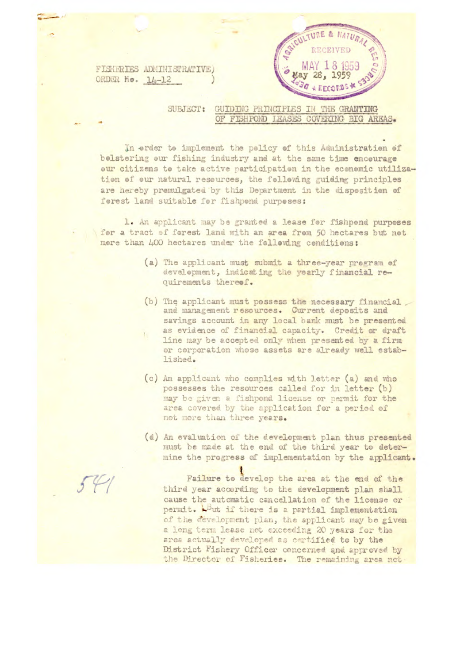FISHERIES ADMINISTRATIVE) ORDER No.  $14-12$ 



SUBJECT: GUIDING PRINCIPLES IN THE GRANTING OF FISHPOND LEASES COVERING BIG AREAS.

In erder te implement the pelicy of this Administration of belstering our fishing industry and at the same time encourage our citizens to take active participation in the economic utilization of our natural resources, the following guiding principles are hereby premulgated by this Department in the disposition of forest land suitable for fishpond purposes:

1. An applicant may be granted a lease for fishpond purposes for a tract of forest land with an area from 50 hectares but not mere than 400 hectares under the following conditions:

- (a) The applicant must submit a three-year program of development, indicating the yearly financial requirements thereof.
- (b) The applicant must possess the necessary financial and management resources. Current deposits and savings account in any local bank must be presented as evidence of financial capacity. Credit or draft line may be accepted only when presented by a firm or corporation whose assets are already well established.
- (c) An applicant who complies with letter (a) and who possesses the resources called for in letter (b) may be given a fishpond license or permit for the area covered by the application for a period of not more than three years.
- (d) An evaluation of the development plan thus presented must be made at the end of the third year to determine the progress of implementation by the applicant.

Failure to develop the area at the end of the third year according to the development plan shall cause the automatic cancellation of the license or permit. Abut if there is a partial implementation of the development plan, the applicant may be given a long term lease not exceeding 20 years for the area actually developed as certified to by the District Fishery Officer concerned and approved by the Director of Fisheries. The remaining area not